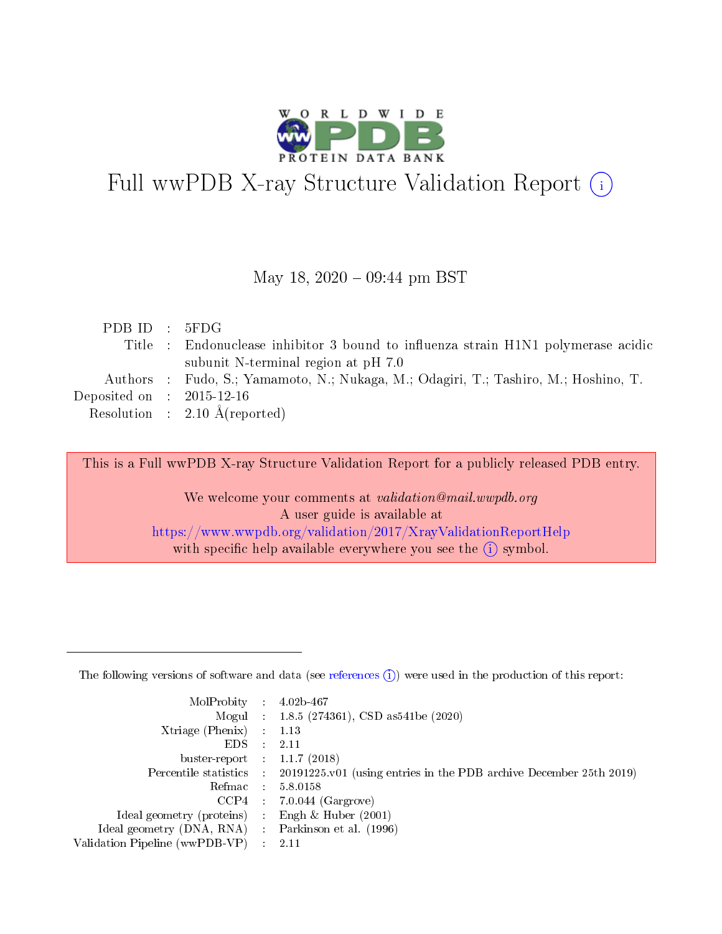

# Full wwPDB X-ray Structure Validation Report (i)

#### May 18,  $2020 - 09:44$  pm BST

| PDBID : 5FDG                |                                                                                     |
|-----------------------------|-------------------------------------------------------------------------------------|
|                             | Title : Endonuclease inhibitor 3 bound to influenza strain H1N1 polymerase acidic   |
|                             | subunit N-terminal region at pH 7.0                                                 |
|                             | Authors : Fudo, S.; Yamamoto, N.; Nukaga, M.; Odagiri, T.; Tashiro, M.; Hoshino, T. |
| Deposited on : $2015-12-16$ |                                                                                     |
|                             | Resolution : $2.10 \text{ Å}$ (reported)                                            |
|                             |                                                                                     |

This is a Full wwPDB X-ray Structure Validation Report for a publicly released PDB entry.

We welcome your comments at validation@mail.wwpdb.org A user guide is available at <https://www.wwpdb.org/validation/2017/XrayValidationReportHelp> with specific help available everywhere you see the  $(i)$  symbol.

The following versions of software and data (see [references](https://www.wwpdb.org/validation/2017/XrayValidationReportHelp#references)  $(1)$ ) were used in the production of this report:

| MolProbity                     | $\mathcal{L}_{\rm{max}}$ | $4.02b - 467$                                                                |
|--------------------------------|--------------------------|------------------------------------------------------------------------------|
|                                |                          | Mogul : $1.8.5$ (274361), CSD as 541be (2020)                                |
| $X$ triage (Phenix) :          |                          | 1.13                                                                         |
| EDS.                           |                          | 2.11                                                                         |
| buster-report : $1.1.7$ (2018) |                          |                                                                              |
| Percentile statistics :        |                          | $20191225 \text{ v}01$ (using entries in the PDB archive December 25th 2019) |
| Refmac                         |                          | 5.8.0158                                                                     |
| $CCP4$ :                       |                          | $7.0.044$ (Gargrove)                                                         |
| Ideal geometry (proteins) :    |                          | Engh $\&$ Huber (2001)                                                       |
| Ideal geometry (DNA, RNA) :    |                          | Parkinson et al. (1996)                                                      |
| Validation Pipeline (wwPDB-VP) | $\mathcal{L}$            | -2.11                                                                        |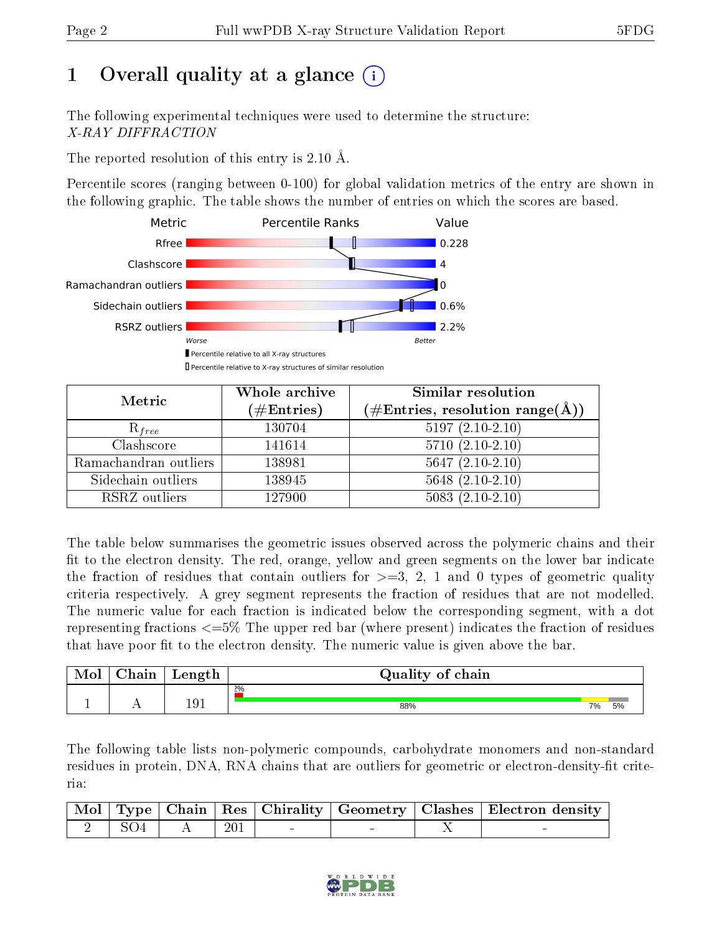# 1 [O](https://www.wwpdb.org/validation/2017/XrayValidationReportHelp#overall_quality)verall quality at a glance  $(i)$

The following experimental techniques were used to determine the structure: X-RAY DIFFRACTION

The reported resolution of this entry is 2.10 Å.

Percentile scores (ranging between 0-100) for global validation metrics of the entry are shown in the following graphic. The table shows the number of entries on which the scores are based.



| Metric                | Whole archive<br>$(\#\text{Entries})$ | Similar resolution<br>$(\#\text{Entries}, \, \text{resolution range}(\textup{\AA}))$ |
|-----------------------|---------------------------------------|--------------------------------------------------------------------------------------|
| $R_{free}$            | 130704                                | $5197(2.10-2.10)$                                                                    |
| Clashscore            | 141614                                | $5710(2.10-2.10)$                                                                    |
| Ramachandran outliers | 138981                                | $5647(2.10-2.10)$                                                                    |
| Sidechain outliers    | 138945                                | $5648$ $(2.10-2.10)$                                                                 |
| RSRZ outliers         | 127900                                | $5083(2.10-2.10)$                                                                    |

The table below summarises the geometric issues observed across the polymeric chains and their fit to the electron density. The red, orange, yellow and green segments on the lower bar indicate the fraction of residues that contain outliers for  $>=3, 2, 1$  and 0 types of geometric quality criteria respectively. A grey segment represents the fraction of residues that are not modelled. The numeric value for each fraction is indicated below the corresponding segment, with a dot representing fractions <=5% The upper red bar (where present) indicates the fraction of residues that have poor fit to the electron density. The numeric value is given above the bar.

| Mol | $\cap$ hain | Length | Quality of chain |    |    |
|-----|-------------|--------|------------------|----|----|
|     |             |        | 2%               |    |    |
|     | . .         | 191    | 88%              | 7% | 5% |

The following table lists non-polymeric compounds, carbohydrate monomers and non-standard residues in protein, DNA, RNA chains that are outliers for geometric or electron-density-fit criteria:

|  |       |  | Mol   Type   Chain   Res   Chirality   Geometry   Clashes   Electron density |
|--|-------|--|------------------------------------------------------------------------------|
|  | - 201 |  |                                                                              |

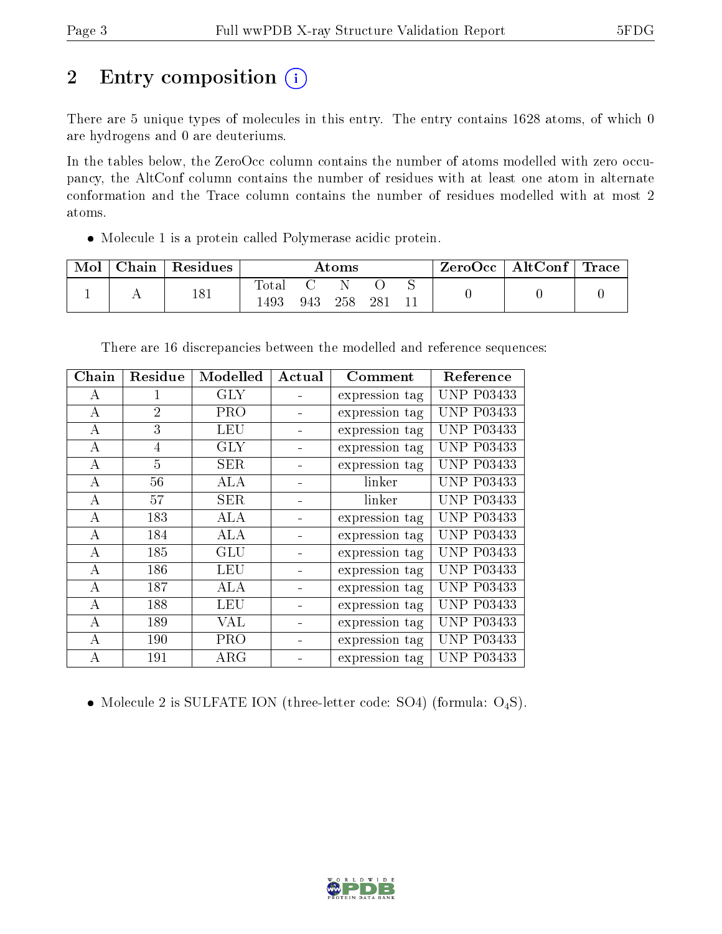# 2 Entry composition (i)

There are 5 unique types of molecules in this entry. The entry contains 1628 atoms, of which 0 are hydrogens and 0 are deuteriums.

In the tables below, the ZeroOcc column contains the number of atoms modelled with zero occupancy, the AltConf column contains the number of residues with at least one atom in alternate conformation and the Trace column contains the number of residues modelled with at most 2 atoms.

Molecule 1 is a protein called Polymerase acidic protein.

| Mol | $\operatorname{\mathsf{Chain}}$ | Residues | Atoms        |     |     | $\rm{ZeroOcc}$   AltConf | $\perp$ Trace |  |  |
|-----|---------------------------------|----------|--------------|-----|-----|--------------------------|---------------|--|--|
|     |                                 | 181      | <b>Total</b> |     |     |                          |               |  |  |
|     |                                 |          | 1493         | 943 | 258 | -281                     |               |  |  |

| There are 16 discrepancies between the modelled and reference sequences: |  |  |  |
|--------------------------------------------------------------------------|--|--|--|
|                                                                          |  |  |  |

| Chain    | Residue        | Modelled   | Actual | Comment        | Reference         |
|----------|----------------|------------|--------|----------------|-------------------|
| А        |                | <b>GLY</b> |        | expression tag | <b>UNP P03433</b> |
| $\bf{A}$ | $\overline{2}$ | <b>PRO</b> |        | expression tag | <b>UNP P03433</b> |
| A        | 3              | LEU        |        | expression tag | <b>UNP P03433</b> |
| А        | $\overline{4}$ | GLY        |        | expression tag | <b>UNP P03433</b> |
| A        | $\overline{5}$ | <b>SER</b> |        | expression tag | <b>UNP P03433</b> |
| А        | 56             | ALA        |        | linker         | <b>UNP P03433</b> |
| $\bf{A}$ | 57             | <b>SER</b> |        | linker         | <b>UNP P03433</b> |
| А        | 183            | ALA        |        | expression tag | <b>UNP P03433</b> |
| А        | 184            | ALA        |        | expression tag | <b>UNP P03433</b> |
| А        | 185            | GLU        |        | expression tag | <b>UNP P03433</b> |
| А        | 186            | <b>LEU</b> |        | expression tag | <b>UNP P03433</b> |
| А        | 187            | ALA        |        | expression tag | <b>UNP P03433</b> |
| А        | 188            | LEU        |        | expression tag | <b>UNP P03433</b> |
| А        | 189            | VAL        |        | expression tag | <b>UNP P03433</b> |
| А        | 190            | <b>PRO</b> |        | expression tag | <b>UNP P03433</b> |
| А        | 191            | $\rm{ARG}$ |        | expression tag | <b>UNP P03433</b> |

• Molecule 2 is SULFATE ION (three-letter code: SO4) (formula:  $O_4S$ ).

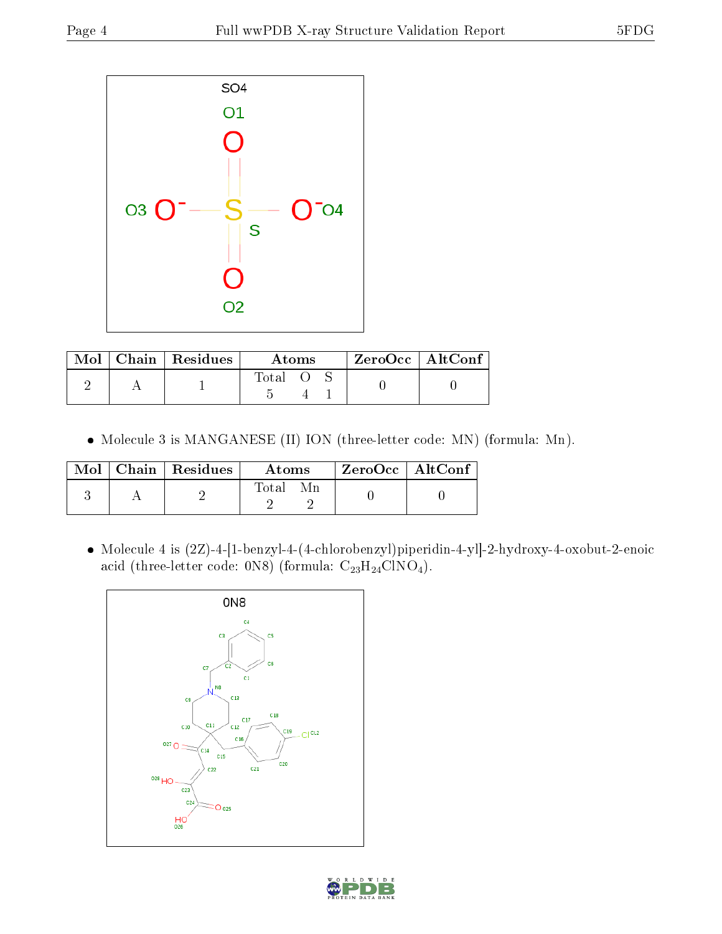

|  | $\text{Mol}$   Chain   Residues | Atoms       |  |  | $ZeroOcc$   AltConf |  |
|--|---------------------------------|-------------|--|--|---------------------|--|
|  |                                 | $\rm Total$ |  |  |                     |  |

Molecule 3 is MANGANESE (II) ION (three-letter code: MN) (formula: Mn).

|  | $Mol$   Chain   Residues | A toms | $ZeroOcc \mid AltConf \mid$ |  |
|--|--------------------------|--------|-----------------------------|--|
|  |                          | Total  |                             |  |

 Molecule 4 is (2Z)-4-[1-benzyl-4-(4-chlorobenzyl)piperidin-4-yl]-2-hydroxy-4-oxobut-2-enoic acid (three-letter code: 0N8) (formula:  $C_{23}H_{24}CNO_4$ ).



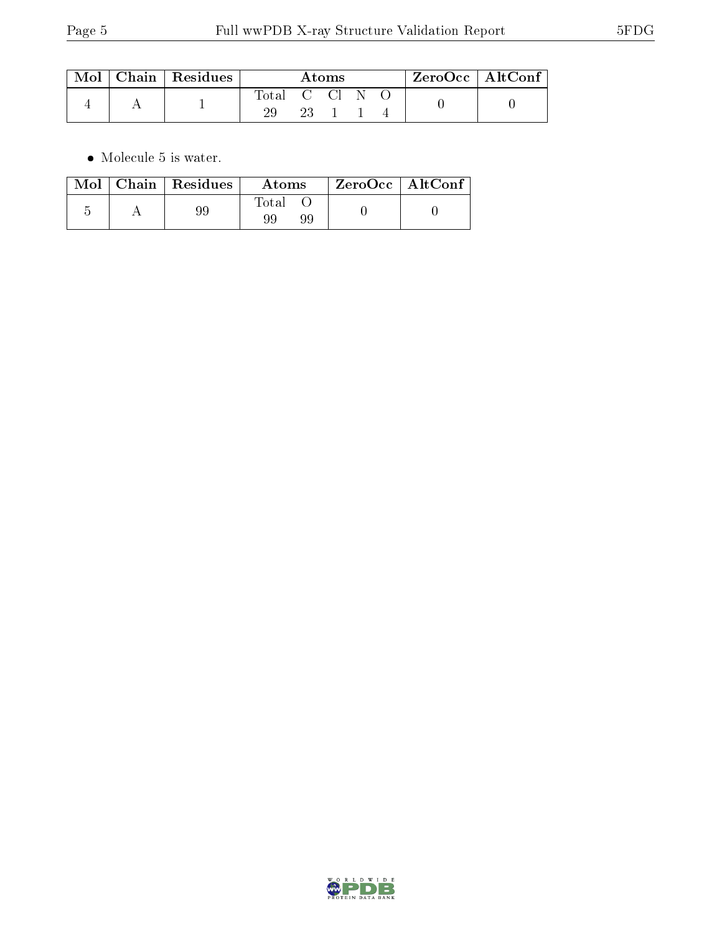| Mol | Chain   Residues | Atoms      |      |  |  | $ZeroOcc \mid AltConf \mid$ |  |
|-----|------------------|------------|------|--|--|-----------------------------|--|
|     |                  | Total C Cl |      |  |  |                             |  |
|     |                  |            | -23- |  |  |                             |  |

 $\bullet\,$  Molecule 5 is water.

|  | $\text{Mol}$   Chain   Residues | Atoms             | ZeroOcc   AltConf |  |
|--|---------------------------------|-------------------|-------------------|--|
|  | 99                              | Total<br>99<br>99 |                   |  |

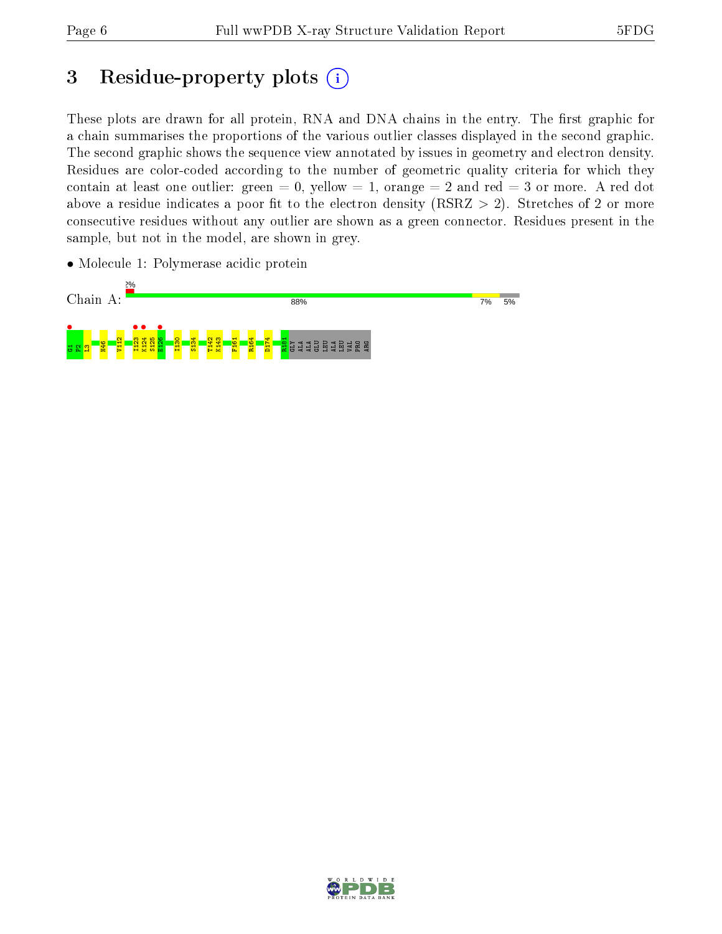# 3 Residue-property plots (i)

These plots are drawn for all protein, RNA and DNA chains in the entry. The first graphic for a chain summarises the proportions of the various outlier classes displayed in the second graphic. The second graphic shows the sequence view annotated by issues in geometry and electron density. Residues are color-coded according to the number of geometric quality criteria for which they contain at least one outlier: green  $= 0$ , yellow  $= 1$ , orange  $= 2$  and red  $= 3$  or more. A red dot above a residue indicates a poor fit to the electron density (RSRZ  $> 2$ ). Stretches of 2 or more consecutive residues without any outlier are shown as a green connector. Residues present in the sample, but not in the model, are shown in grey.

• Molecule 1: Polymerase acidic protein



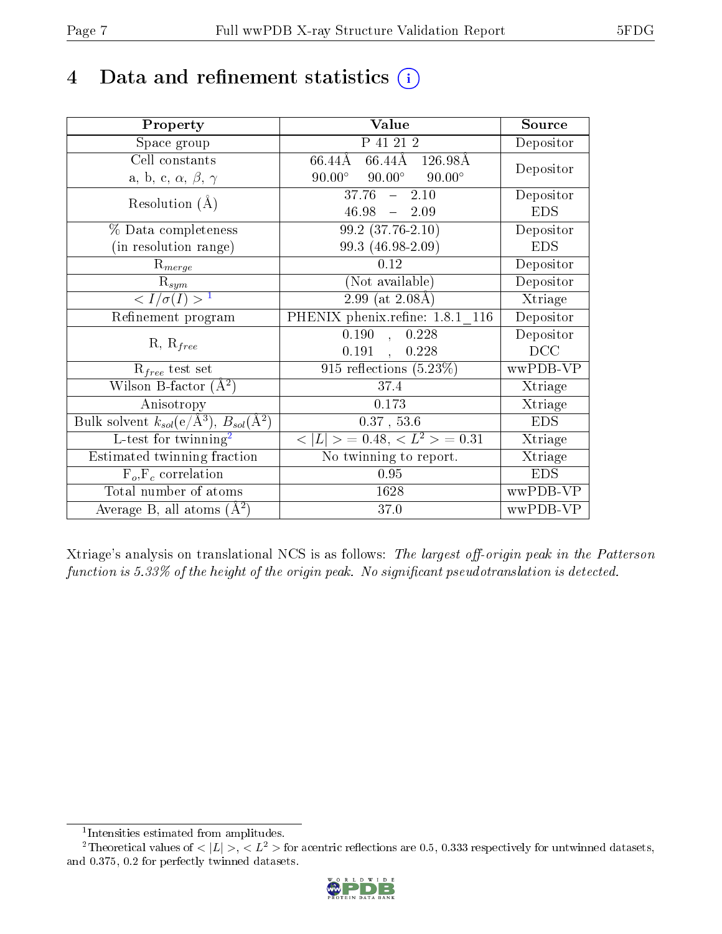# 4 Data and refinement statistics  $(i)$

| Property                                                             | Value                                           | Source     |  |
|----------------------------------------------------------------------|-------------------------------------------------|------------|--|
| Space group                                                          | P 41 21 2                                       | Depositor  |  |
| Cell constants                                                       | 66.44Å 126.98Å<br>66.44Å                        | Depositor  |  |
| a, b, c, $\alpha$ , $\beta$ , $\gamma$                               | $90.00^{\circ}$ $90.00^{\circ}$ $90.00^{\circ}$ |            |  |
| Resolution $(A)$                                                     | $37.76 - 2.10$                                  | Depositor  |  |
|                                                                      | $46.98 - 2.09$                                  | <b>EDS</b> |  |
| % Data completeness                                                  | $99.2(37.76-2.10)$                              | Depositor  |  |
| (in resolution range)                                                | 99.3 (46.98-2.09)                               | <b>EDS</b> |  |
| $R_{merge}$                                                          | 0.12                                            | Depositor  |  |
| $\mathrm{R}_{sym}$                                                   | (Not available)                                 | Depositor  |  |
| $\langle I/\sigma(I) \rangle^{-1}$                                   | $2.99$ (at $2.08\text{\AA}$ )                   | Xtriage    |  |
| Refinement program                                                   | PHENIX phenix.refine: 1.8.1 116                 | Depositor  |  |
|                                                                      | 0.190,<br>0.228                                 | Depositor  |  |
| $R, R_{free}$                                                        | 0.191, 0.228                                    | DCC        |  |
| $\mathcal{R}_{free}$ test set                                        | $\overline{915}$ reflections $(5.23\%)$         | wwPDB-VP   |  |
| Wilson B-factor $(A^2)$                                              | 37.4                                            | Xtriage    |  |
| Anisotropy                                                           | 0.173                                           | Xtriage    |  |
| Bulk solvent $k_{sol}(e/\mathring{A}^3)$ , $B_{sol}(\mathring{A}^2)$ | $0.37$ , 53.6                                   | <b>EDS</b> |  |
| $L$ -test for twinning <sup>2</sup>                                  | $< L >$ = 0.48, $< L2$ > = 0.31                 | Xtriage    |  |
| Estimated twinning fraction                                          | No twinning to report.                          | Xtriage    |  |
| $F_o, F_c$ correlation                                               | 0.95                                            | <b>EDS</b> |  |
| Total number of atoms                                                | 1628                                            | wwPDB-VP   |  |
| Average B, all atoms $(A^2)$                                         | 37.0                                            | wwPDB-VP   |  |

Xtriage's analysis on translational NCS is as follows: The largest off-origin peak in the Patterson function is  $5.33\%$  of the height of the origin peak. No significant pseudotranslation is detected.

<sup>&</sup>lt;sup>2</sup>Theoretical values of  $\langle |L| \rangle$ ,  $\langle L^2 \rangle$  for acentric reflections are 0.5, 0.333 respectively for untwinned datasets, and 0.375, 0.2 for perfectly twinned datasets.



<span id="page-6-1"></span><span id="page-6-0"></span><sup>1</sup> Intensities estimated from amplitudes.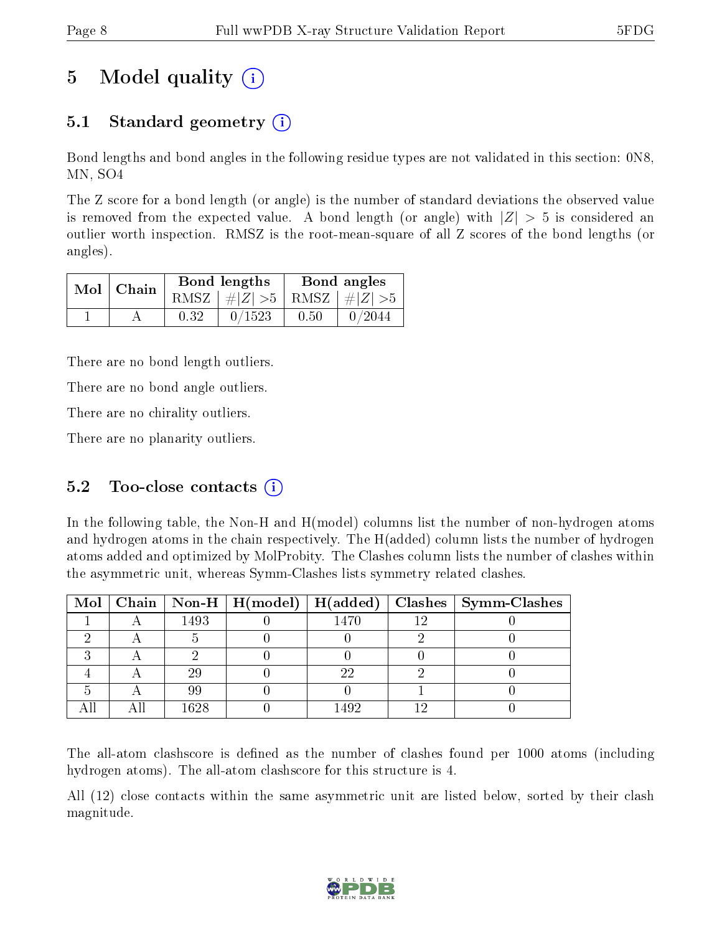# 5 Model quality  $(i)$

## 5.1 Standard geometry (i)

Bond lengths and bond angles in the following residue types are not validated in this section: 0N8, MN, SO4

The Z score for a bond length (or angle) is the number of standard deviations the observed value is removed from the expected value. A bond length (or angle) with  $|Z| > 5$  is considered an outlier worth inspection. RMSZ is the root-mean-square of all Z scores of the bond lengths (or angles).

| $Mol$   Chain |      | Bond lengths                    |      | Bond angles |
|---------------|------|---------------------------------|------|-------------|
|               |      | RMSZ $ #Z  > 5$ RMSZ $ #Z  > 5$ |      |             |
|               | 0.32 | 0/1523                          | 0.50 | 0/2044      |

There are no bond length outliers.

There are no bond angle outliers.

There are no chirality outliers.

There are no planarity outliers.

### 5.2 Too-close contacts  $(i)$

In the following table, the Non-H and H(model) columns list the number of non-hydrogen atoms and hydrogen atoms in the chain respectively. The H(added) column lists the number of hydrogen atoms added and optimized by MolProbity. The Clashes column lists the number of clashes within the asymmetric unit, whereas Symm-Clashes lists symmetry related clashes.

|  |      |      | Mol   Chain   Non-H   H(model)   H(added)   Clashes   Symm-Clashes |
|--|------|------|--------------------------------------------------------------------|
|  | 1493 | 1470 |                                                                    |
|  |      |      |                                                                    |
|  |      |      |                                                                    |
|  | 29   | າາ   |                                                                    |
|  | 99   |      |                                                                    |
|  | 1628 | .492 |                                                                    |

The all-atom clashscore is defined as the number of clashes found per 1000 atoms (including hydrogen atoms). The all-atom clashscore for this structure is 4.

All (12) close contacts within the same asymmetric unit are listed below, sorted by their clash magnitude.

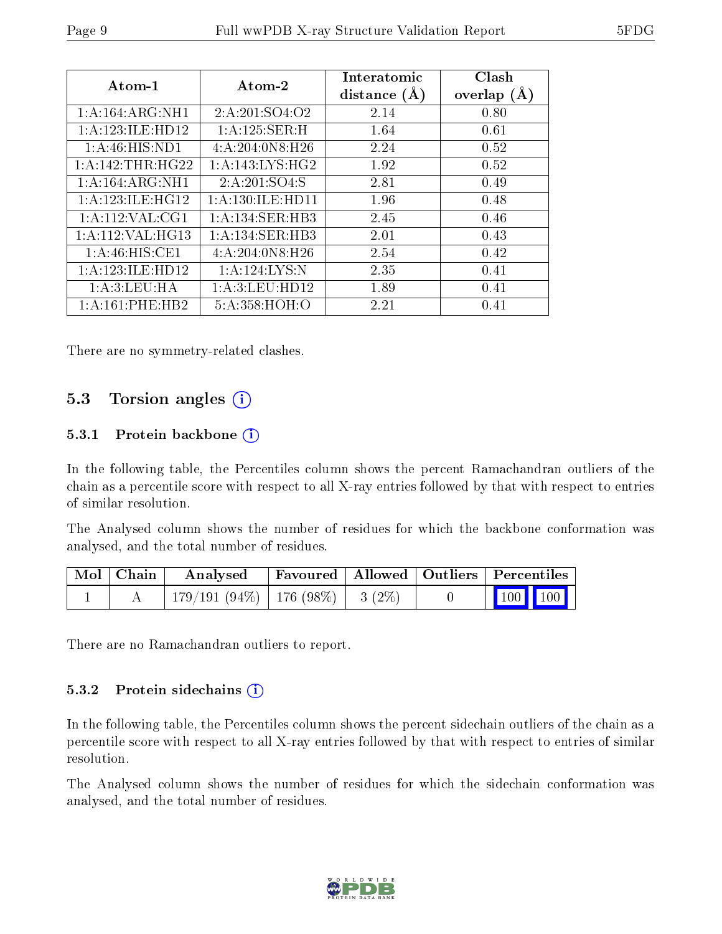| Atom-1               | Atom-2               | Interatomic<br>distance $(A)$ | Clash<br>overlap $(A)$ |
|----------------------|----------------------|-------------------------------|------------------------|
| 1:A:164:ARG:NH1      | 2: A: 201: SO4: O2   | 2.14                          | 0.80                   |
| 1:A:123:ILE:HD12     | 1:A:125:SER:H        | 1.64                          | 0.61                   |
| 1: A:46: HIS: ND1    | 4:A:204:0N8:H26      | 2.24                          | 0.52                   |
| 1:A:142:THR:HG22     | 1: A:143:LYS:HG2     | 1.92                          | 0.52                   |
| 1:A:164:ARG:NH1      | 2: A:201:SO4:S       | 2.81                          | 0.49                   |
| 1: A: 123: ILE: HG12 | 1: A: 130: ILE: HD11 | 1.96                          | 0.48                   |
| 1: A: 112: VAL: CG1  | 1: A:134: SER:HB3    | 2.45                          | 0.46                   |
| 1:A:112:VAL:HG13     | 1:A:134:SER:HB3      | 2.01                          | 0.43                   |
| 1: A:46: HIS: CE1    | 4:A:204:0N8:H26      | 2.54                          | 0.42                   |
| 1:A:123:ILE:HD12     | 1:A:124:LYS:N        | 2.35                          | 0.41                   |
| 1:A:3:LEU:HA         | 1:A:3:LEU:HD12       | 1.89                          | 0.41                   |
| 1: A:161:PHE:HB2     | 5:A:358:HOH:O        | 2.21                          | 0.41                   |

There are no symmetry-related clashes.

### 5.3 Torsion angles (i)

#### 5.3.1 Protein backbone (i)

In the following table, the Percentiles column shows the percent Ramachandran outliers of the chain as a percentile score with respect to all X-ray entries followed by that with respect to entries of similar resolution.

The Analysed column shows the number of residues for which the backbone conformation was analysed, and the total number of residues.

| $\mid$ Mol $\mid$ Chain $\mid$ | Analysed                           | Favoured   Allowed   Outliers   Percentiles |  |                                                                                    |  |
|--------------------------------|------------------------------------|---------------------------------------------|--|------------------------------------------------------------------------------------|--|
|                                | 179/191 (94%)   176 (98%)   3 (2%) |                                             |  | $\begin{array}{ c c c c c }\n\hline\n\multicolumn{1}{ c }{100} & 100\n\end{array}$ |  |

There are no Ramachandran outliers to report.

#### 5.3.2 Protein sidechains  $(i)$

In the following table, the Percentiles column shows the percent sidechain outliers of the chain as a percentile score with respect to all X-ray entries followed by that with respect to entries of similar resolution.

The Analysed column shows the number of residues for which the sidechain conformation was analysed, and the total number of residues.

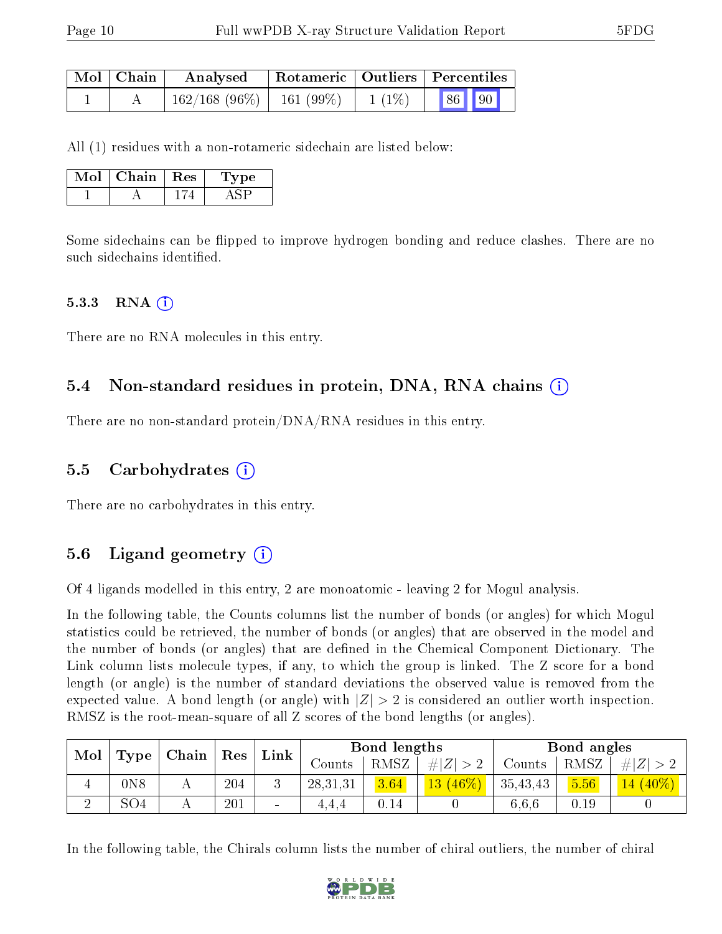| Mol   Chain | Analysed                      |  |          | Rotameric   Outliers   Percentiles |       |  |
|-------------|-------------------------------|--|----------|------------------------------------|-------|--|
|             | $162/168$ (96\%)   161 (99\%) |  | $1(1\%)$ |                                    | 86 90 |  |

All (1) residues with a non-rotameric sidechain are listed below:

| Mot | Chain - | $\parallel$ Res | рe<br>L V. |
|-----|---------|-----------------|------------|
|     |         |                 |            |

Some sidechains can be flipped to improve hydrogen bonding and reduce clashes. There are no such sidechains identified.

#### $5.3.3$  RNA  $(i)$

There are no RNA molecules in this entry.

#### 5.4 Non-standard residues in protein, DNA, RNA chains (i)

There are no non-standard protein/DNA/RNA residues in this entry.

#### 5.5 Carbohydrates (i)

There are no carbohydrates in this entry.

### 5.6 Ligand geometry (i)

Of 4 ligands modelled in this entry, 2 are monoatomic - leaving 2 for Mogul analysis.

In the following table, the Counts columns list the number of bonds (or angles) for which Mogul statistics could be retrieved, the number of bonds (or angles) that are observed in the model and the number of bonds (or angles) that are defined in the Chemical Component Dictionary. The Link column lists molecule types, if any, to which the group is linked. The Z score for a bond length (or angle) is the number of standard deviations the observed value is removed from the expected value. A bond length (or angle) with  $|Z| > 2$  is considered an outlier worth inspection. RMSZ is the root-mean-square of all Z scores of the bond lengths (or angles).

| Mol |     |   |     |        |          |      |               |          |      |          |  |  |  |  |  |  |  |  |  |  | Chain<br>Link<br>Res<br><b>Type</b> |  |  | Bond lengths |  | Bond angles |  |  |
|-----|-----|---|-----|--------|----------|------|---------------|----------|------|----------|--|--|--|--|--|--|--|--|--|--|-------------------------------------|--|--|--------------|--|-------------|--|--|
|     |     |   |     |        | Counts   | RMSZ | H Z           | Counts   | RMSZ | $\#$     |  |  |  |  |  |  |  |  |  |  |                                     |  |  |              |  |             |  |  |
| 4   | 0N8 | A | 204 |        | 28,31,31 | 3.64 | $46\%$<br> 13 | 35,43,43 | 5.56 | $ 40\% $ |  |  |  |  |  |  |  |  |  |  |                                     |  |  |              |  |             |  |  |
|     | SO4 |   | 201 | $\sim$ | 4.4.4    | U.I4 |               | 6.6.6    | 0.19 |          |  |  |  |  |  |  |  |  |  |  |                                     |  |  |              |  |             |  |  |

In the following table, the Chirals column lists the number of chiral outliers, the number of chiral

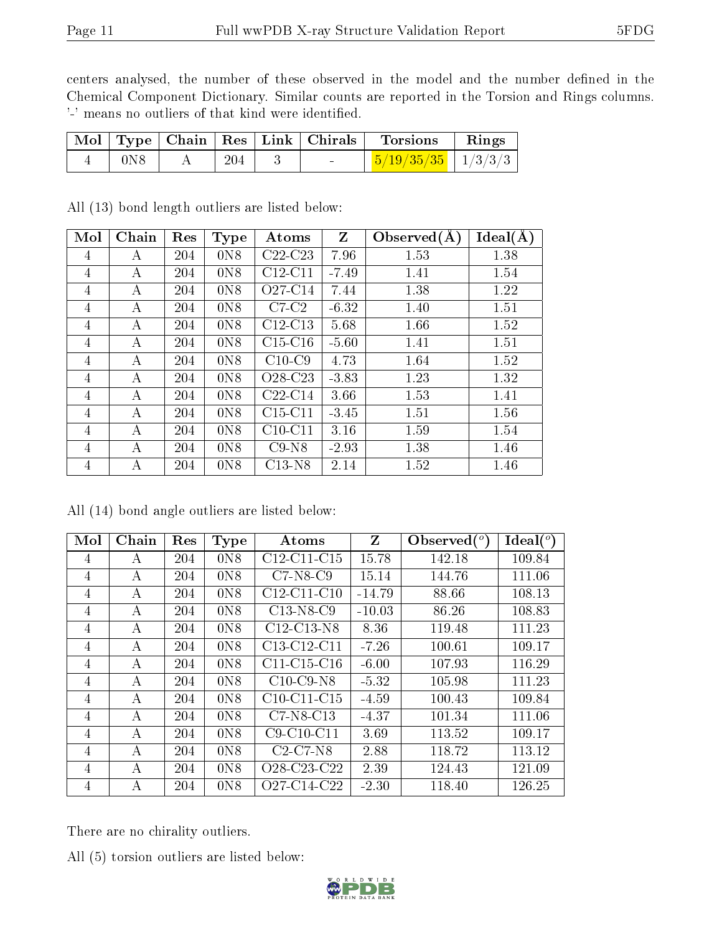centers analysed, the number of these observed in the model and the number defined in the Chemical Component Dictionary. Similar counts are reported in the Torsion and Rings columns. '-' means no outliers of that kind were identified.

|                  |     | Mol   Type   Chain   Res   Link   Chirals | Torsions                         | $\mathbf{Rings}$ |
|------------------|-----|-------------------------------------------|----------------------------------|------------------|
| 0 <sub>N</sub> 8 | 204 | <b>Contract Contract Contract</b>         | $\frac{5}{19/35/35}$   $1/3/3/3$ |                  |

All (13) bond length outliers are listed below:

| Mol            | Chain | Res | <b>Type</b>    | Atoms                            | Z       | Observed $(A)$ | Ideal(A) |
|----------------|-------|-----|----------------|----------------------------------|---------|----------------|----------|
| 4              | А     | 204 | 0N8            | $C22-C23$                        | 7.96    | 1.53           | 1.38     |
| 4              | A     | 204 | 0N8            | $C12-C11$                        | $-7.49$ | 1.41           | 1.54     |
| 4              | А     | 204 | 0N8            | O27-C14                          | 7.44    | 1.38           | 1.22     |
| 4              | А     | 204 | 0N8            | $C7-C2$                          | $-6.32$ | 1.40           | 1.51     |
| $\overline{4}$ | А     | 204 | 0N8            | $C12-C13$                        | 5.68    | 1.66           | 1.52     |
| 4              | А     | 204 | 0N8            | $C15-C16$                        | $-5.60$ | 1.41           | 1.51     |
| 4              | A     | 204 | 0N8            | $C10-C9$                         | 4.73    | 1.64           | 1.52     |
| 4              | А     | 204 | 0N8            | O <sub>28</sub> -C <sub>23</sub> | $-3.83$ | 1.23           | 1.32     |
| 4              | А     | 204 | 0N8            | $C22-C14$                        | 3.66    | 1.53           | 1.41     |
| 4              | A     | 204 | 0N8            | $C15-C11$                        | $-3.45$ | 1.51           | 1.56     |
| 4              | А     | 204 | 0N8            | $C10-C11$                        | 3.16    | 1.59           | 1.54     |
| $\overline{4}$ | А     | 204 | 0 <sub>N</sub> | $C9-N8$                          | $-2.93$ | 1.38           | 1.46     |
| 4              | А     | 204 | 0N8            | $C13-N8$                         | 2.14    | 1.52           | 1.46     |

All (14) bond angle outliers are listed below:

| Mol            | Chain | Res | Type             | Atoms                                             | Z        | Observed $\binom{o}{c}$ | $Ideal(^o)$ |
|----------------|-------|-----|------------------|---------------------------------------------------|----------|-------------------------|-------------|
| 4              | А     | 204 | 0 <sub>N</sub> 8 | $C12-C11-C15$                                     | 15.78    | 142.18                  | 109.84      |
| 4              | А     | 204 | 0 <sub>N</sub> 8 | $C7-N8-C9$                                        | 15.14    | 144.76                  | 111.06      |
| 4              | А     | 204 | 0 <sub>N</sub> 8 | $C12-C11-C10$                                     | $-14.79$ | 88.66                   | 108.13      |
| 4              | А     | 204 | 0 <sub>N</sub> 8 | $C13-N8-C9$                                       | $-10.03$ | 86.26                   | 108.83      |
| 4              | А     | 204 | 0N8              | C12-C13-N8                                        | 8.36     | 119.48                  | 111.23      |
| 4              | А     | 204 | 0 <sub>N</sub>   | C13-C12-C11                                       | $-7.26$  | 100.61                  | 109.17      |
| 4              | А     | 204 | 0 <sub>N</sub>   | $C11-C15-C16$                                     | $-6.00$  | 107.93                  | 116.29      |
| 4              | А     | 204 | 0 <sub>N</sub> 8 | $C10$ -C9-N8                                      | $-5.32$  | 105.98                  | 111.23      |
| $\overline{4}$ | А     | 204 | 0 <sub>N</sub> 8 | $C10-C11-C15$                                     | $-4.59$  | 100.43                  | 109.84      |
| 4              | А     | 204 | 0 <sub>N</sub> 8 | $C7-N8-C13$                                       | $-4.37$  | 101.34                  | 111.06      |
| 4              | А     | 204 | 0 <sub>N</sub> 8 | $C9-C10-C11$                                      | 3.69     | 113.52                  | 109.17      |
| 4              | А     | 204 | 0 <sub>N</sub> 8 | $C2-C7-N8$                                        | 2.88     | 118.72                  | 113.12      |
| 4              | А     | 204 | 0 <sub>N</sub> 8 | O <sub>28</sub> -C <sub>23</sub> -C <sub>22</sub> | 2.39     | 124.43                  | 121.09      |
| 4              | А     | 204 | 0 <sub>N</sub>   | O27-C14-C22                                       | $-2.30$  | 118.40                  | 126.25      |

There are no chirality outliers.

All (5) torsion outliers are listed below:

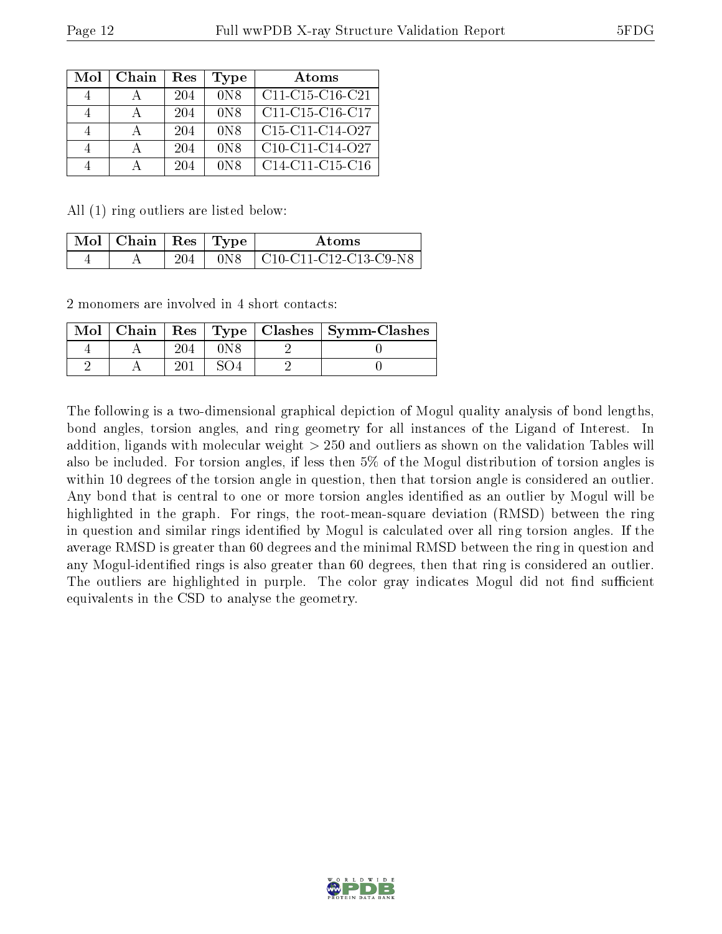| Mol | $Chain$ | Res | Type             | Atoms             |
|-----|---------|-----|------------------|-------------------|
|     |         | 204 | 0 <sub>N</sub> 8 | $C11-C15-C16-C21$ |
|     |         | 204 | 0 <sub>N</sub> 8 | $C11-C15-C16-C17$ |
|     |         | 204 | 0 <sub>N</sub> 8 | $C15-C11-C14-O27$ |
|     |         | 204 | 0 <sub>N</sub> 8 | $C10-C11-C14-O27$ |
|     |         | 204 | 0 <sub>N</sub>   | $C14-C11-C15-C16$ |

All (1) ring outliers are listed below:

| $+$ Mol $\mid$ Chain $\mid$ Res $\mid$ Type $+$ |                | A toms                                                                                                    |
|-------------------------------------------------|----------------|-----------------------------------------------------------------------------------------------------------|
|                                                 | 0 <sub>N</sub> | $\mid$ C <sub>10</sub> -C <sub>11</sub> -C <sub>12</sub> -C <sub>13</sub> -C <sub>9</sub> -N <sub>8</sub> |

2 monomers are involved in 4 short contacts:

| Mol |  |  | Chain   Res   Type   Clashes   Symm-Clashes |
|-----|--|--|---------------------------------------------|
|     |  |  |                                             |
|     |  |  |                                             |

The following is a two-dimensional graphical depiction of Mogul quality analysis of bond lengths, bond angles, torsion angles, and ring geometry for all instances of the Ligand of Interest. In addition, ligands with molecular weight > 250 and outliers as shown on the validation Tables will also be included. For torsion angles, if less then 5% of the Mogul distribution of torsion angles is within 10 degrees of the torsion angle in question, then that torsion angle is considered an outlier. Any bond that is central to one or more torsion angles identified as an outlier by Mogul will be highlighted in the graph. For rings, the root-mean-square deviation (RMSD) between the ring in question and similar rings identified by Mogul is calculated over all ring torsion angles. If the average RMSD is greater than 60 degrees and the minimal RMSD between the ring in question and any Mogul-identified rings is also greater than 60 degrees, then that ring is considered an outlier. The outliers are highlighted in purple. The color gray indicates Mogul did not find sufficient equivalents in the CSD to analyse the geometry.

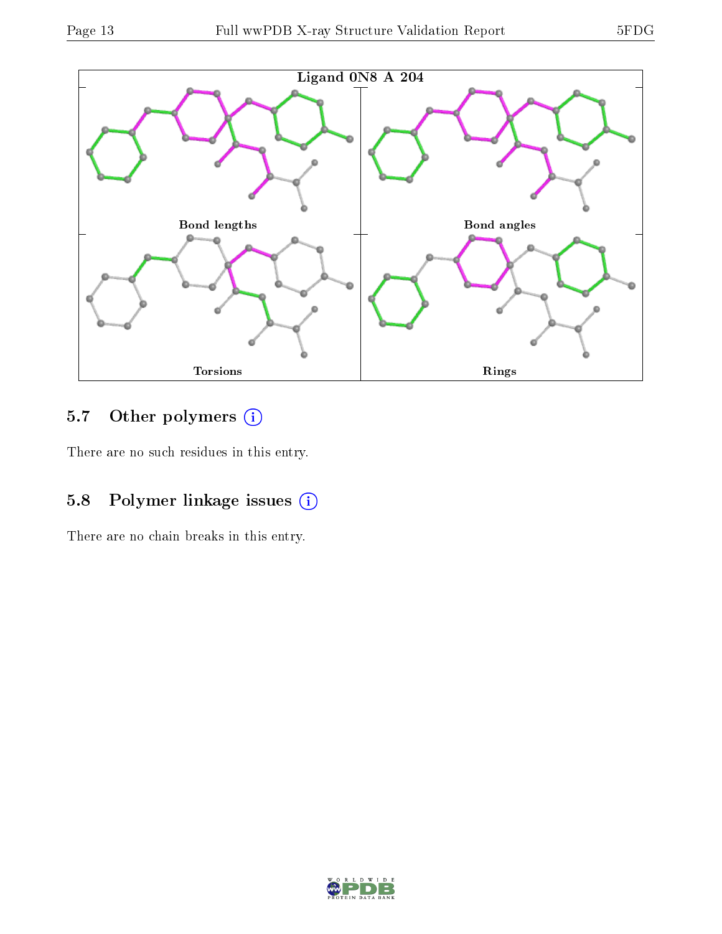

### 5.7 [O](https://www.wwpdb.org/validation/2017/XrayValidationReportHelp#nonstandard_residues_and_ligands)ther polymers (i)

There are no such residues in this entry.

## 5.8 Polymer linkage issues (i)

There are no chain breaks in this entry.

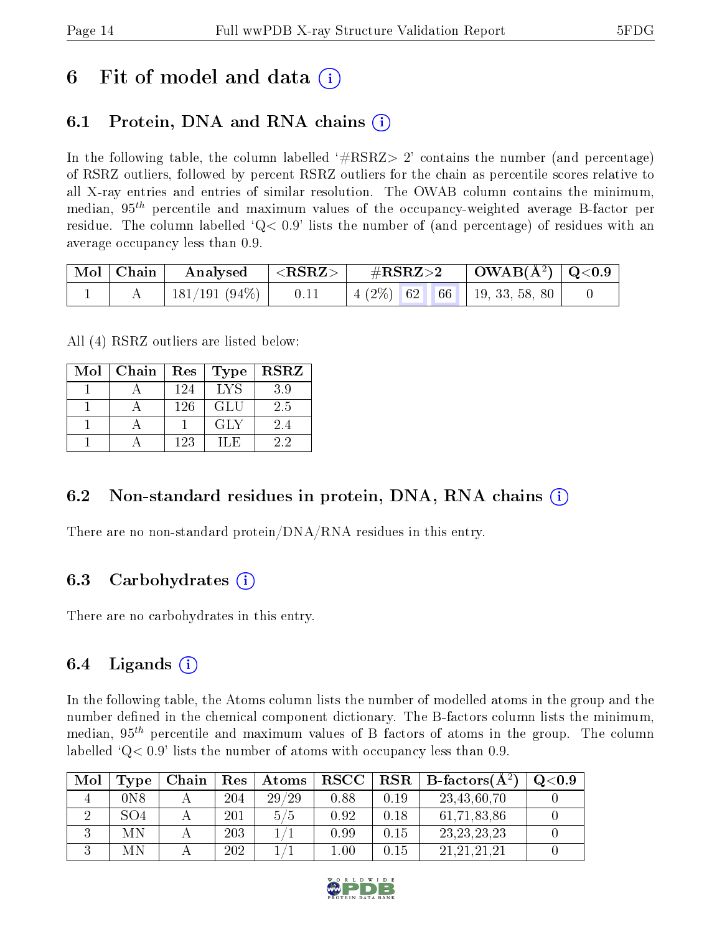# 6 Fit of model and data  $\left( \cdot \right)$

## 6.1 Protein, DNA and RNA chains (i)

In the following table, the column labelled  $#RSRZ>2'$  contains the number (and percentage) of RSRZ outliers, followed by percent RSRZ outliers for the chain as percentile scores relative to all X-ray entries and entries of similar resolution. The OWAB column contains the minimum, median,  $95<sup>th</sup>$  percentile and maximum values of the occupancy-weighted average B-factor per residue. The column labelled  $Q < 0.9$  lists the number of (and percentage) of residues with an average occupancy less than 0.9.

|  | $\begin{array}{ c c c c }\hline \text{Mol} & \text{Chain} & \text{Analysed} & <\text{RSRZ}> \hline \end{array}$ |  |  |  |  |
|--|-----------------------------------------------------------------------------------------------------------------|--|--|--|--|
|  | 181/191 (94\%)   0.11   4 (2\%) 62 66   19, 33, 58, 80                                                          |  |  |  |  |

All (4) RSRZ outliers are listed below:

| Mol | Chain | Res | Type | $_{\rm RSRZ}$ |
|-----|-------|-----|------|---------------|
|     |       | 124 | LYS  | 3.9           |
|     |       | 126 | GLU  | 2.5           |
|     |       |     | GLY  | 2.4           |
|     |       | 123 | ILE. | 22            |

### 6.2 Non-standard residues in protein, DNA, RNA chains  $(i)$

There are no non-standard protein/DNA/RNA residues in this entry.

### 6.3 Carbohydrates (i)

There are no carbohydrates in this entry.

### 6.4 Ligands  $(i)$

In the following table, the Atoms column lists the number of modelled atoms in the group and the number defined in the chemical component dictionary. The B-factors column lists the minimum, median,  $95<sup>th</sup>$  percentile and maximum values of B factors of atoms in the group. The column labelled  $Q< 0.9$  lists the number of atoms with occupancy less than 0.9.

| Mol | Type             | Chain | Res | Atoms | $_{\rm RSCC}$ |      | $\text{RSR} \parallel \text{B-factors}(\AA^2)$ | Q <sub>0.9</sub> |
|-----|------------------|-------|-----|-------|---------------|------|------------------------------------------------|------------------|
|     | 0 <sub>N</sub> 8 |       | 204 | 29/29 | 0.88          | 0.19 | 23,43,60,70                                    |                  |
|     | SO <sub>4</sub>  |       | 201 | 5/5   | 0.92          | 0.18 | 61,71,83,86                                    |                  |
|     | МN               |       | 203 |       | 0.99          | 0.15 | 23, 23, 23, 23                                 |                  |
|     | МN               |       | 202 |       | 0.01          | 0.15 | 21.21.21.21                                    |                  |